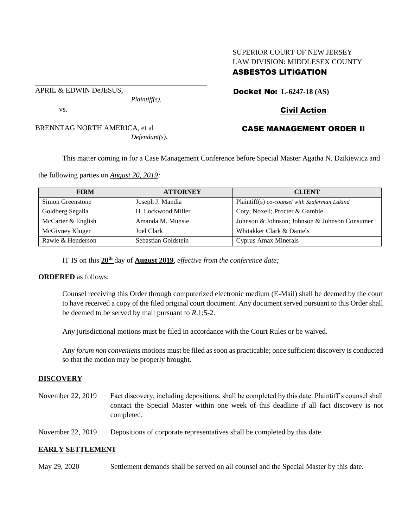# SUPERIOR COURT OF NEW JERSEY LAW DIVISION: MIDDLESEX COUNTY ASBESTOS LITIGATION

APRIL & EDWIN DeJESUS,

vs.

BRENNTAG NORTH AMERICA, et al *Defendant(s).*

*Plaintiff(s),*

Docket No: **L-6247-18 (AS)**

# Civil Action

# CASE MANAGEMENT ORDER II

This matter coming in for a Case Management Conference before Special Master Agatha N. Dzikiewicz and

the following parties on *August 20, 2019:*

| <b>FIRM</b>        | <b>ATTORNEY</b>     | <b>CLIENT</b>                                 |
|--------------------|---------------------|-----------------------------------------------|
| Simon Greenstone   | Joseph J. Mandia    | Plaintiff(s) co-counsel with Szaferman Lakind |
| Goldberg Segalla   | H. Lockwood Miller  | Coty; Noxell; Procter & Gamble                |
| McCarter & English | Amanda M. Munsie    | Johnson & Johnson; Johnson & Johnson Consumer |
| McGivney Kluger    | Joel Clark          | Whitakker Clark & Daniels                     |
| Rawle & Henderson  | Sebastian Goldstein | Cyprus Amax Minerals                          |

IT IS on this **20th** day of **August 2019**, *effective from the conference date;*

**ORDERED** as follows:

Counsel receiving this Order through computerized electronic medium (E-Mail) shall be deemed by the court to have received a copy of the filed original court document. Any document served pursuant to this Order shall be deemed to be served by mail pursuant to *R*.1:5-2.

Any jurisdictional motions must be filed in accordance with the Court Rules or be waived.

Any *forum non conveniens* motions must be filed as soon as practicable; once sufficient discovery is conducted so that the motion may be properly brought.

### **DISCOVERY**

November 22, 2019 Fact discovery, including depositions, shall be completed by this date. Plaintiff's counsel shall contact the Special Master within one week of this deadline if all fact discovery is not completed.

November 22, 2019 Depositions of corporate representatives shall be completed by this date.

## **EARLY SETTLEMENT**

May 29, 2020 Settlement demands shall be served on all counsel and the Special Master by this date.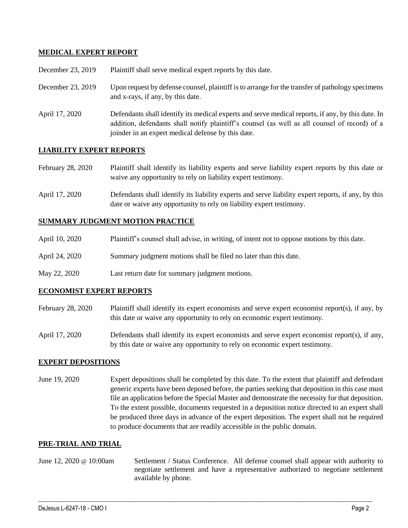## **MEDICAL EXPERT REPORT**

| December 23, 2019 | Plaintiff shall serve medical expert reports by this date.                                                                                                                                                                                               |
|-------------------|----------------------------------------------------------------------------------------------------------------------------------------------------------------------------------------------------------------------------------------------------------|
| December 23, 2019 | Upon request by defense counsel, plaintiff is to arrange for the transfer of pathology specimens<br>and x-rays, if any, by this date.                                                                                                                    |
| April 17, 2020    | Defendants shall identify its medical experts and serve medical reports, if any, by this date. In<br>addition, defendants shall notify plaintiff's counsel (as well as all counsel of record) of a<br>joinder in an expert medical defense by this date. |

## **LIABILITY EXPERT REPORTS**

| February 28, 2020 | Plaintiff shall identify its liability experts and serve liability expert reports by this date or |
|-------------------|---------------------------------------------------------------------------------------------------|
|                   | waive any opportunity to rely on liability expert testimony.                                      |

April 17, 2020 Defendants shall identify its liability experts and serve liability expert reports, if any, by this date or waive any opportunity to rely on liability expert testimony.

#### **SUMMARY JUDGMENT MOTION PRACTICE**

| April 10, 2020 | Plaintiff's counsel shall advise, in writing, of intent not to oppose motions by this date. |
|----------------|---------------------------------------------------------------------------------------------|
| April 24, 2020 | Summary judgment motions shall be filed no later than this date.                            |
| May 22, 2020   | Last return date for summary judgment motions.                                              |

### **ECONOMIST EXPERT REPORTS**

- February 28, 2020 Plaintiff shall identify its expert economists and serve expert economist report(s), if any, by this date or waive any opportunity to rely on economic expert testimony.
- April 17, 2020 Defendants shall identify its expert economists and serve expert economist report(s), if any, by this date or waive any opportunity to rely on economic expert testimony.

### **EXPERT DEPOSITIONS**

June 19, 2020 Expert depositions shall be completed by this date. To the extent that plaintiff and defendant generic experts have been deposed before, the parties seeking that deposition in this case must file an application before the Special Master and demonstrate the necessity for that deposition. To the extent possible, documents requested in a deposition notice directed to an expert shall be produced three days in advance of the expert deposition. The expert shall not be required to produce documents that are readily accessible in the public domain.

#### **PRE-TRIAL AND TRIAL**

June 12, 2020 @ 10:00am Settlement / Status Conference. All defense counsel shall appear with authority to negotiate settlement and have a representative authorized to negotiate settlement available by phone.

 $\_$  , and the set of the set of the set of the set of the set of the set of the set of the set of the set of the set of the set of the set of the set of the set of the set of the set of the set of the set of the set of th